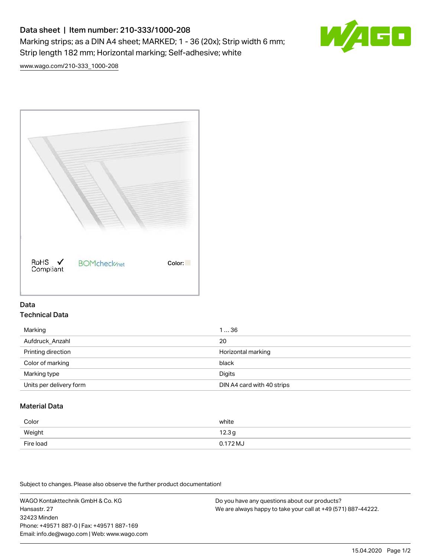# Data sheet | Item number: 210-333/1000-208 Marking strips; as a DIN A4 sheet; MARKED; 1 - 36 (20x); Strip width 6 mm; Strip length 182 mm; Horizontal marking; Self-adhesive; white



[www.wago.com/210-333\\_1000-208](http://www.wago.com/210-333_1000-208)



### Data Technical Data

| Marking                 | 136                        |
|-------------------------|----------------------------|
| Aufdruck Anzahl         | 20                         |
| Printing direction      | Horizontal marking         |
| Color of marking        | black                      |
| Marking type            | Digits                     |
| Units per delivery form | DIN A4 card with 40 strips |

## Material Data

| Color     | white               |
|-----------|---------------------|
| Weight    | 12.3g               |
| Fire load | $0.172 \mathrm{MJ}$ |

Subject to changes. Please also observe the further product documentation!

WAGO Kontakttechnik GmbH & Co. KG Hansastr. 27 32423 Minden Phone: +49571 887-0 | Fax: +49571 887-169 Email: info.de@wago.com | Web: www.wago.com Do you have any questions about our products? We are always happy to take your call at +49 (571) 887-44222.